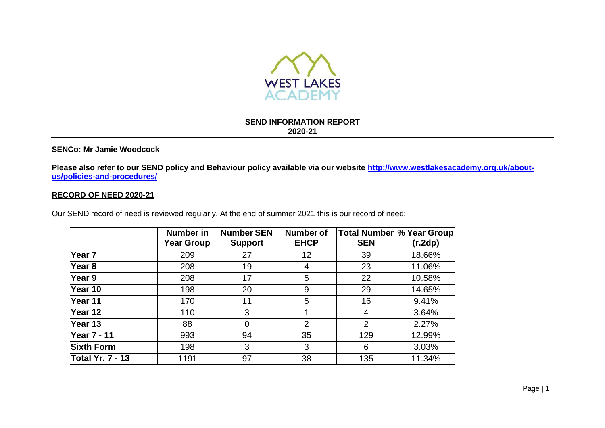

#### **SEND INFORMATION REPORT 2020-21**

### **SENCo: Mr Jamie Woodcock**

**Please also refer to our SEND policy and Behaviour policy available via our website [http://www.westlakesacademy.org.uk/about](http://www.westlakesacademy.org.uk/about-us/policies-and-procedures/)[us/policies-and-procedures/](http://www.westlakesacademy.org.uk/about-us/policies-and-procedures/)**

### **RECORD OF NEED 2020-21**

Our SEND record of need is reviewed regularly. At the end of summer 2021 this is our record of need:

|                         | Number in<br><b>Year Group</b> | <b>Number SEN</b><br><b>Support</b> | <b>Number of</b><br><b>EHCP</b> | <b>SEN</b>     | Total Number \% Year Group<br>(r.2dp) |
|-------------------------|--------------------------------|-------------------------------------|---------------------------------|----------------|---------------------------------------|
| $\sqrt{2}$ ear 7        | 209                            | 27                                  | 12                              | 39             | 18.66%                                |
| Year <sub>8</sub>       | 208                            | 19                                  | 4                               | 23             | 11.06%                                |
| Year 9                  | 208                            | 17                                  | 5                               | 22             | 10.58%                                |
| Year 10                 | 198                            | 20                                  | 9                               | 29             | 14.65%                                |
| Year 11                 | 170                            | 11                                  | 5                               | 16             | 9.41%                                 |
| Year 12                 | 110                            | 3                                   |                                 | 4              | 3.64%                                 |
| Year 13                 | 88                             | 0                                   | 2                               | $\overline{2}$ | 2.27%                                 |
| <b>Year 7 - 11</b>      | 993                            | 94                                  | 35                              | 129            | 12.99%                                |
| <b>Sixth Form</b>       | 198                            | 3                                   | 3                               | 6              | 3.03%                                 |
| <b>Total Yr. 7 - 13</b> | 1191                           | 97                                  | 38                              | 135            | 11.34%                                |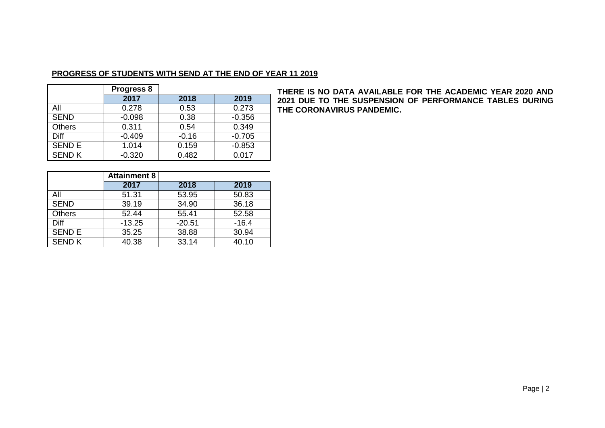# **PROGRESS OF STUDENTS WITH SEND AT THE END OF YEAR 11 2019**

|               | <b>Progress 8</b> |         |          |
|---------------|-------------------|---------|----------|
|               | 2017              | 2018    | 2019     |
| All           | 0.278             | 0.53    | 0.273    |
| <b>SEND</b>   | $-0.098$          | 0.38    | $-0.356$ |
| <b>Others</b> | 0.311             | 0.54    | 0.349    |
| Diff          | $-0.409$          | $-0.16$ | $-0.705$ |
| <b>SEND E</b> | 1.014             | 0.159   | $-0.853$ |
| <b>SEND K</b> | $-0.320$          | 0.482   | 0.017    |

**THERE IS NO DATA AVAILABLE FOR THE ACADEMIC YEAR 2020 AND 2021 DUE TO THE SUSPENSION OF PERFORMANCE TABLES DURING THE CORONAVIRUS PANDEMIC.**

|               | <b>Attainment 8</b> |          |         |
|---------------|---------------------|----------|---------|
|               | 2017                | 2018     | 2019    |
| All           | 51.31               | 53.95    | 50.83   |
| <b>SEND</b>   | 39.19               | 34.90    | 36.18   |
| Others        | 52.44               | 55.41    | 52.58   |
| Diff          | $-13.25$            | $-20.51$ | $-16.4$ |
| <b>SEND E</b> | 35.25               | 38.88    | 30.94   |
| <b>SEND K</b> | 40.38               | 33.14    | 40.10   |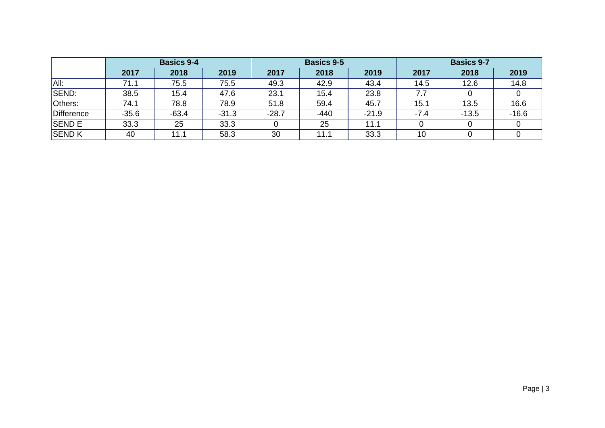|               | <b>Basics 9-4</b> |         | <b>Basics 9-5</b> |         |        | <b>Basics 9-7</b> |        |         |         |
|---------------|-------------------|---------|-------------------|---------|--------|-------------------|--------|---------|---------|
|               | 2017              | 2018    | 2019              | 2017    | 2018   | 2019              | 2017   | 2018    | 2019    |
| All:          | 71.1              | 75.5    | 75.5              | 49.3    | 42.9   | 43.4              | 14.5   | 12.6    | 14.8    |
| SEND:         | 38.5              | 15.4    | 47.6              | 23.1    | 15.4   | 23.8              | 7.7    |         |         |
| Others:       | 74.1              | 78.8    | 78.9              | 51.8    | 59.4   | 45.7              | 15.1   | 13.5    | 16.6    |
| Difference    | $-35.6$           | $-63.4$ | $-31.3$           | $-28.7$ | $-440$ | $-21.9$           | $-7.4$ | $-13.5$ | $-16.6$ |
| <b>SEND E</b> | 33.3              | 25      | 33.3              |         | 25     | 11.1              |        |         |         |
| <b>SEND K</b> | 40                | 11.1    | 58.3              | 30      | 11.1   | 33.3              | 10     |         |         |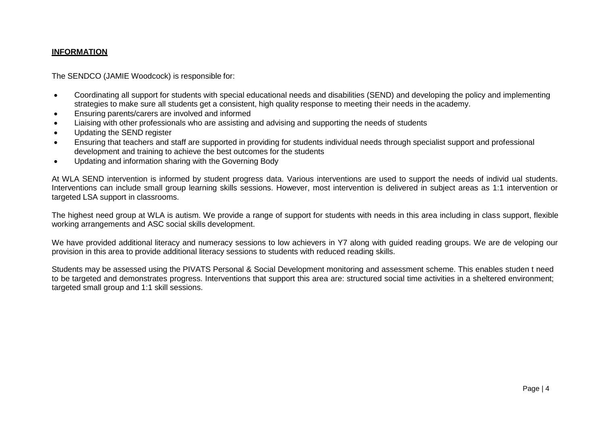### **INFORMATION**

The SENDCO (JAMIE Woodcock) is responsible for:

- Coordinating all support for students with special educational needs and disabilities (SEND) and developing the policy and implementing strategies to make sure all students get a consistent, high quality response to meeting their needs in the academy.
- Ensuring parents/carers are involved and informed
- Liaising with other professionals who are assisting and advising and supporting the needs of students
- Updating the SEND register
- Ensuring that teachers and staff are supported in providing for students individual needs through specialist support and professional development and training to achieve the best outcomes for the students
- Updating and information sharing with the Governing Body

At WLA SEND intervention is informed by student progress data. Various interventions are used to support the needs of individ ual students. Interventions can include small group learning skills sessions. However, most intervention is delivered in subject areas as 1:1 intervention or targeted LSA support in classrooms.

The highest need group at WLA is autism. We provide a range of support for students with needs in this area including in class support, flexible working arrangements and ASC social skills development.

We have provided additional literacy and numeracy sessions to low achievers in Y7 along with guided reading groups. We are de veloping our provision in this area to provide additional literacy sessions to students with reduced reading skills.

Students may be assessed using the PIVATS Personal & Social Development monitoring and assessment scheme. This enables studen t need to be targeted and demonstrates progress. Interventions that support this area are: structured social time activities in a sheltered environment; targeted small group and 1:1 skill sessions.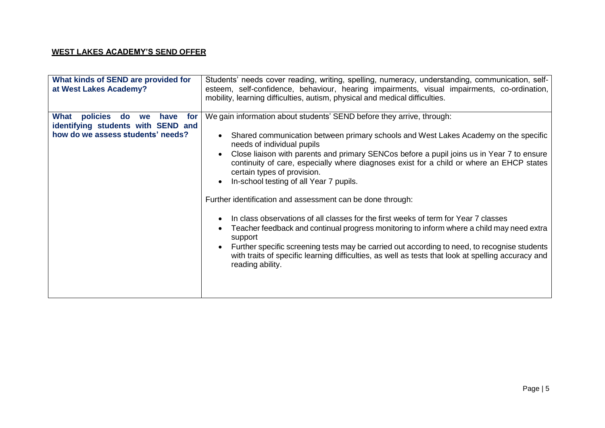# **WEST LAKES ACADEMY'S SEND OFFER**

| What kinds of SEND are provided for<br>at West Lakes Academy?                                                          | Students' needs cover reading, writing, spelling, numeracy, understanding, communication, self-<br>esteem, self-confidence, behaviour, hearing impairments, visual impairments, co-ordination,<br>mobility, learning difficulties, autism, physical and medical difficulties.                                                                                                                                                                                                                    |
|------------------------------------------------------------------------------------------------------------------------|--------------------------------------------------------------------------------------------------------------------------------------------------------------------------------------------------------------------------------------------------------------------------------------------------------------------------------------------------------------------------------------------------------------------------------------------------------------------------------------------------|
| What<br>policies<br>do<br>for<br>have<br>we<br>identifying students with SEND and<br>how do we assess students' needs? | We gain information about students' SEND before they arrive, through:<br>Shared communication between primary schools and West Lakes Academy on the specific<br>$\bullet$<br>needs of individual pupils<br>Close liaison with parents and primary SENCos before a pupil joins us in Year 7 to ensure<br>continuity of care, especially where diagnoses exist for a child or where an EHCP states<br>certain types of provision.<br>In-school testing of all Year 7 pupils.<br>$\bullet$          |
|                                                                                                                        | Further identification and assessment can be done through:<br>In class observations of all classes for the first weeks of term for Year 7 classes<br>$\bullet$<br>Teacher feedback and continual progress monitoring to inform where a child may need extra<br>support<br>Further specific screening tests may be carried out according to need, to recognise students<br>with traits of specific learning difficulties, as well as tests that look at spelling accuracy and<br>reading ability. |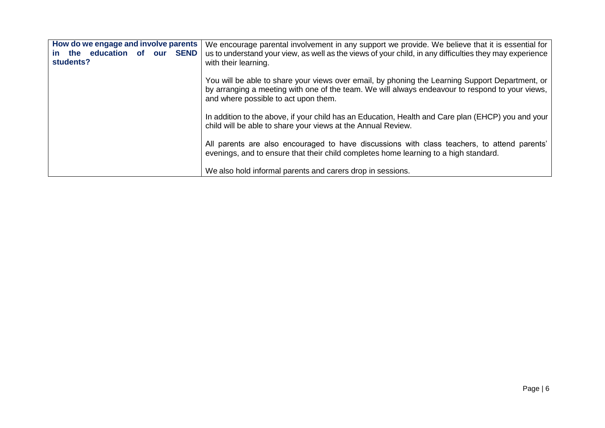| How do we engage and involve parents<br>the education of our SEND<br><u>in</u><br>students? | We encourage parental involvement in any support we provide. We believe that it is essential for<br>us to understand your view, as well as the views of your child, in any difficulties they may experience<br>with their learning.        |
|---------------------------------------------------------------------------------------------|--------------------------------------------------------------------------------------------------------------------------------------------------------------------------------------------------------------------------------------------|
|                                                                                             | You will be able to share your views over email, by phoning the Learning Support Department, or<br>by arranging a meeting with one of the team. We will always endeavour to respond to your views,<br>and where possible to act upon them. |
|                                                                                             | In addition to the above, if your child has an Education, Health and Care plan (EHCP) you and your<br>child will be able to share your views at the Annual Review.                                                                         |
|                                                                                             | All parents are also encouraged to have discussions with class teachers, to attend parents'<br>evenings, and to ensure that their child completes home learning to a high standard.                                                        |
|                                                                                             | We also hold informal parents and carers drop in sessions.                                                                                                                                                                                 |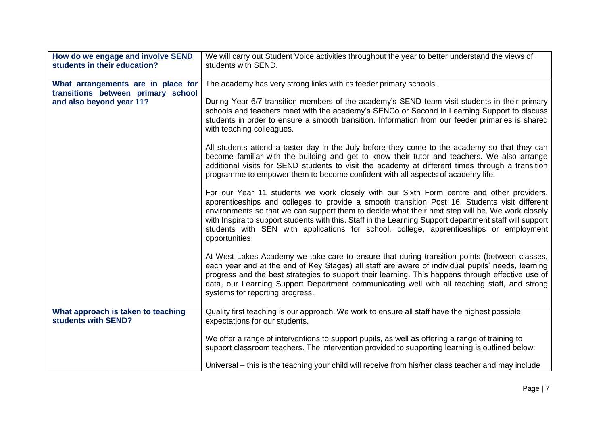| How do we engage and involve SEND<br>students in their education? | We will carry out Student Voice activities throughout the year to better understand the views of<br>students with SEND.                                                                                                                                                                                                                                                                                                                                                                                             |
|-------------------------------------------------------------------|---------------------------------------------------------------------------------------------------------------------------------------------------------------------------------------------------------------------------------------------------------------------------------------------------------------------------------------------------------------------------------------------------------------------------------------------------------------------------------------------------------------------|
|                                                                   |                                                                                                                                                                                                                                                                                                                                                                                                                                                                                                                     |
| What arrangements are in place for                                | The academy has very strong links with its feeder primary schools.                                                                                                                                                                                                                                                                                                                                                                                                                                                  |
| transitions between primary school                                |                                                                                                                                                                                                                                                                                                                                                                                                                                                                                                                     |
| and also beyond year 11?                                          | During Year 6/7 transition members of the academy's SEND team visit students in their primary<br>schools and teachers meet with the academy's SENCo or Second in Learning Support to discuss<br>students in order to ensure a smooth transition. Information from our feeder primaries is shared<br>with teaching colleagues.                                                                                                                                                                                       |
|                                                                   | All students attend a taster day in the July before they come to the academy so that they can<br>become familiar with the building and get to know their tutor and teachers. We also arrange<br>additional visits for SEND students to visit the academy at different times through a transition<br>programme to empower them to become confident with all aspects of academy life.                                                                                                                                 |
|                                                                   | For our Year 11 students we work closely with our Sixth Form centre and other providers,<br>apprenticeships and colleges to provide a smooth transition Post 16. Students visit different<br>environments so that we can support them to decide what their next step will be. We work closely<br>with Inspira to support students with this. Staff in the Learning Support department staff will support<br>students with SEN with applications for school, college, apprenticeships or employment<br>opportunities |
|                                                                   | At West Lakes Academy we take care to ensure that during transition points (between classes,<br>each year and at the end of Key Stages) all staff are aware of individual pupils' needs, learning<br>progress and the best strategies to support their learning. This happens through effective use of<br>data, our Learning Support Department communicating well with all teaching staff, and strong<br>systems for reporting progress.                                                                           |
| What approach is taken to teaching                                | Quality first teaching is our approach. We work to ensure all staff have the highest possible                                                                                                                                                                                                                                                                                                                                                                                                                       |
| students with SEND?                                               | expectations for our students.                                                                                                                                                                                                                                                                                                                                                                                                                                                                                      |
|                                                                   | We offer a range of interventions to support pupils, as well as offering a range of training to<br>support classroom teachers. The intervention provided to supporting learning is outlined below:<br>Universal – this is the teaching your child will receive from his/her class teacher and may include                                                                                                                                                                                                           |
|                                                                   |                                                                                                                                                                                                                                                                                                                                                                                                                                                                                                                     |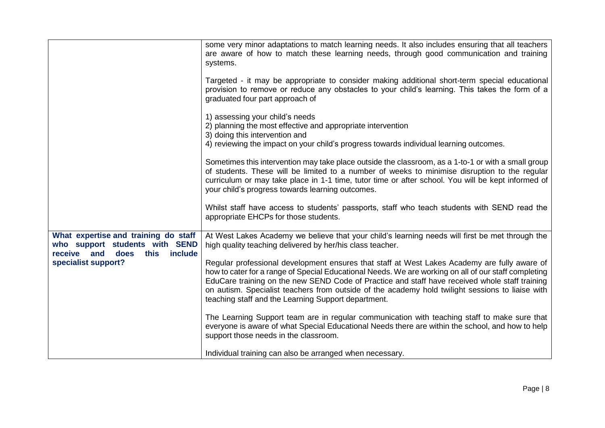|                                                                                                                     | some very minor adaptations to match learning needs. It also includes ensuring that all teachers<br>are aware of how to match these learning needs, through good communication and training<br>systems.                                                                                                                                                                                                                                                           |
|---------------------------------------------------------------------------------------------------------------------|-------------------------------------------------------------------------------------------------------------------------------------------------------------------------------------------------------------------------------------------------------------------------------------------------------------------------------------------------------------------------------------------------------------------------------------------------------------------|
|                                                                                                                     | Targeted - it may be appropriate to consider making additional short-term special educational<br>provision to remove or reduce any obstacles to your child's learning. This takes the form of a<br>graduated four part approach of                                                                                                                                                                                                                                |
|                                                                                                                     | 1) assessing your child's needs<br>2) planning the most effective and appropriate intervention<br>3) doing this intervention and                                                                                                                                                                                                                                                                                                                                  |
|                                                                                                                     | 4) reviewing the impact on your child's progress towards individual learning outcomes.                                                                                                                                                                                                                                                                                                                                                                            |
|                                                                                                                     | Sometimes this intervention may take place outside the classroom, as a 1-to-1 or with a small group<br>of students. These will be limited to a number of weeks to minimise disruption to the regular<br>curriculum or may take place in 1-1 time, tutor time or after school. You will be kept informed of<br>your child's progress towards learning outcomes.                                                                                                    |
|                                                                                                                     | Whilst staff have access to students' passports, staff who teach students with SEND read the<br>appropriate EHCPs for those students.                                                                                                                                                                                                                                                                                                                             |
| What expertise and training do staff<br>who support students with SEND<br>receive<br>and<br>does<br>this<br>include | At West Lakes Academy we believe that your child's learning needs will first be met through the<br>high quality teaching delivered by her/his class teacher.                                                                                                                                                                                                                                                                                                      |
| specialist support?                                                                                                 | Regular professional development ensures that staff at West Lakes Academy are fully aware of<br>how to cater for a range of Special Educational Needs. We are working on all of our staff completing<br>EduCare training on the new SEND Code of Practice and staff have received whole staff training<br>on autism. Specialist teachers from outside of the academy hold twilight sessions to liaise with<br>teaching staff and the Learning Support department. |
|                                                                                                                     | The Learning Support team are in regular communication with teaching staff to make sure that<br>everyone is aware of what Special Educational Needs there are within the school, and how to help<br>support those needs in the classroom.                                                                                                                                                                                                                         |
|                                                                                                                     | Individual training can also be arranged when necessary.                                                                                                                                                                                                                                                                                                                                                                                                          |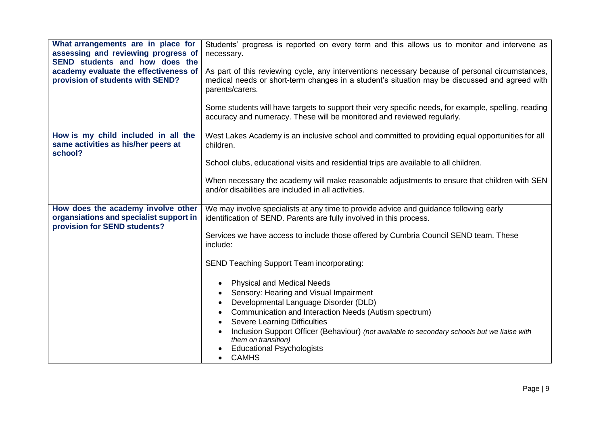| What arrangements are in place for<br>assessing and reviewing progress of<br>SEND students and how does the<br>academy evaluate the effectiveness of<br>provision of students with SEND? | Students' progress is reported on every term and this allows us to monitor and intervene as<br>necessary.<br>As part of this reviewing cycle, any interventions necessary because of personal circumstances,<br>medical needs or short-term changes in a student's situation may be discussed and agreed with<br>parents/carers.                                                                                                                                              |
|------------------------------------------------------------------------------------------------------------------------------------------------------------------------------------------|-------------------------------------------------------------------------------------------------------------------------------------------------------------------------------------------------------------------------------------------------------------------------------------------------------------------------------------------------------------------------------------------------------------------------------------------------------------------------------|
|                                                                                                                                                                                          | Some students will have targets to support their very specific needs, for example, spelling, reading<br>accuracy and numeracy. These will be monitored and reviewed regularly.                                                                                                                                                                                                                                                                                                |
| How is my child included in all the<br>same activities as his/her peers at<br>school?                                                                                                    | West Lakes Academy is an inclusive school and committed to providing equal opportunities for all<br>children.                                                                                                                                                                                                                                                                                                                                                                 |
|                                                                                                                                                                                          | School clubs, educational visits and residential trips are available to all children.                                                                                                                                                                                                                                                                                                                                                                                         |
|                                                                                                                                                                                          | When necessary the academy will make reasonable adjustments to ensure that children with SEN<br>and/or disabilities are included in all activities.                                                                                                                                                                                                                                                                                                                           |
| How does the academy involve other<br>organsiations and specialist support in<br>provision for SEND students?                                                                            | We may involve specialists at any time to provide advice and guidance following early<br>identification of SEND. Parents are fully involved in this process.                                                                                                                                                                                                                                                                                                                  |
|                                                                                                                                                                                          | Services we have access to include those offered by Cumbria Council SEND team. These<br>include:                                                                                                                                                                                                                                                                                                                                                                              |
|                                                                                                                                                                                          | <b>SEND Teaching Support Team incorporating:</b>                                                                                                                                                                                                                                                                                                                                                                                                                              |
|                                                                                                                                                                                          | <b>Physical and Medical Needs</b><br>$\bullet$<br>Sensory: Hearing and Visual Impairment<br>$\bullet$<br>Developmental Language Disorder (DLD)<br>$\bullet$<br>Communication and Interaction Needs (Autism spectrum)<br><b>Severe Learning Difficulties</b><br>$\bullet$<br>Inclusion Support Officer (Behaviour) (not available to secondary schools but we liaise with<br>$\bullet$<br>them on transition)<br><b>Educational Psychologists</b><br><b>CAMHS</b><br>$\bullet$ |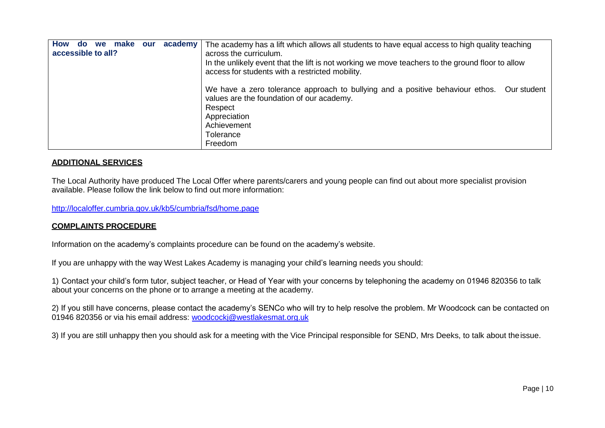| <b>How</b><br>academy<br>make<br><b>we</b><br>our<br><b>do</b><br>accessible to all? |  | The academy has a lift which allows all students to have equal access to high quality teaching<br>across the curriculum.<br>In the unlikely event that the lift is not working we move teachers to the ground floor to allow<br>access for students with a restricted mobility. |
|--------------------------------------------------------------------------------------|--|---------------------------------------------------------------------------------------------------------------------------------------------------------------------------------------------------------------------------------------------------------------------------------|
|                                                                                      |  | We have a zero tolerance approach to bullying and a positive behaviour ethos.<br>Our student<br>values are the foundation of our academy.<br>Respect<br>Appreciation<br>Achievement<br>Tolerance<br>Freedom                                                                     |

# **ADDITIONAL SERVICES**

The Local Authority have produced The Local Offer where parents/carers and young people can find out about more specialist provision available. Please follow the link below to find out more information:

<http://localoffer.cumbria.gov.uk/kb5/cumbria/fsd/home.page>

### **COMPLAINTS PROCEDURE**

Information on the academy's complaints procedure can be found on the academy's website.

If you are unhappy with the way West Lakes Academy is managing your child's learning needs you should:

1) Contact your child's form tutor, subject teacher, or Head of Year with your concerns by telephoning the academy on 01946 820356 to talk about your concerns on the phone or to arrange a meeting at the academy.

2) If you still have concerns, please contact the academy's SENCo who will try to help resolve the problem. Mr Woodcock can be contacted on 01946 820356 or via his email address: [woodcockj@westlakesmat.org.uk](mailto:woodcockj@westlakesmat.org.uk)

3) If you are still unhappy then you should ask for a meeting with the Vice Principal responsible for SEND, Mrs Deeks, to talk about theissue.